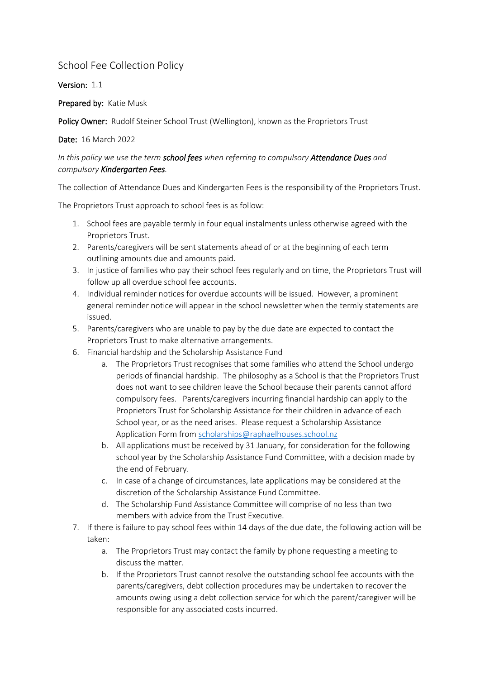## School Fee Collection Policy

Version: 1.1

Prepared by: Katie Musk

Policy Owner: Rudolf Steiner School Trust (Wellington), known as the Proprietors Trust

Date: 16 March 2022

## *In this policy we use the term school fees when referring to compulsory Attendance Dues and compulsory Kindergarten Fees.*

The collection of Attendance Dues and Kindergarten Fees is the responsibility of the Proprietors Trust.

The Proprietors Trust approach to school fees is as follow:

- 1. School fees are payable termly in four equal instalments unless otherwise agreed with the Proprietors Trust.
- 2. Parents/caregivers will be sent statements ahead of or at the beginning of each term outlining amounts due and amounts paid.
- 3. In justice of families who pay their school fees regularly and on time, the Proprietors Trust will follow up all overdue school fee accounts.
- 4. Individual reminder notices for overdue accounts will be issued. However, a prominent general reminder notice will appear in the school newsletter when the termly statements are issued.
- 5. Parents/caregivers who are unable to pay by the due date are expected to contact the Proprietors Trust to make alternative arrangements.
- 6. Financial hardship and the Scholarship Assistance Fund
	- a. The Proprietors Trust recognises that some families who attend the School undergo periods of financial hardship. The philosophy as a School is that the Proprietors Trust does not want to see children leave the School because their parents cannot afford compulsory fees. Parents/caregivers incurring financial hardship can apply to the Proprietors Trust for Scholarship Assistance for their children in advance of each School year, or as the need arises. Please request a Scholarship Assistance Application Form from [scholarships@raphaelhouses.school.nz](mailto:scholarships@raphaelhouses.school.nz)
	- b. All applications must be received by 31 January, for consideration for the following school year by the Scholarship Assistance Fund Committee, with a decision made by the end of February.
	- c. In case of a change of circumstances, late applications may be considered at the discretion of the Scholarship Assistance Fund Committee.
	- d. The Scholarship Fund Assistance Committee will comprise of no less than two members with advice from the Trust Executive.
- 7. If there is failure to pay school fees within 14 days of the due date, the following action will be taken:
	- a. The Proprietors Trust may contact the family by phone requesting a meeting to discuss the matter.
	- b. If the Proprietors Trust cannot resolve the outstanding school fee accounts with the parents/caregivers, debt collection procedures may be undertaken to recover the amounts owing using a debt collection service for which the parent/caregiver will be responsible for any associated costs incurred.